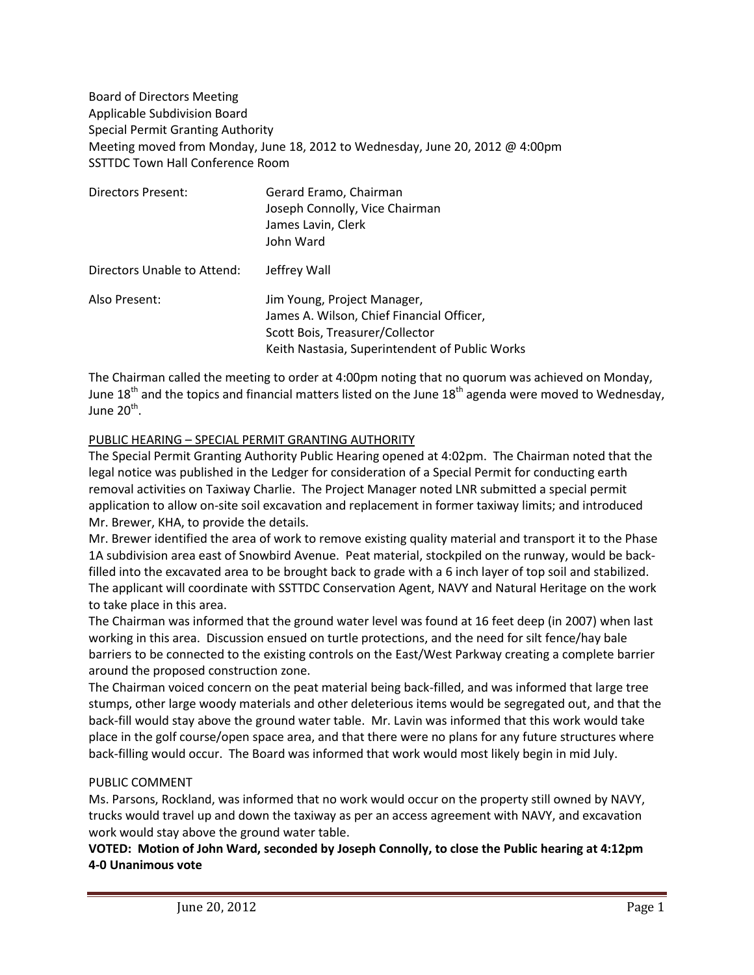Board of Directors Meeting Applicable Subdivision Board Special Permit Granting Authority Meeting moved from Monday, June 18, 2012 to Wednesday, June 20, 2012 @ 4:00pm SSTTDC Town Hall Conference Room

| <b>Directors Present:</b>   | Gerard Eramo, Chairman<br>Joseph Connolly, Vice Chairman<br>James Lavin, Clerk<br>John Ward                                                                   |
|-----------------------------|---------------------------------------------------------------------------------------------------------------------------------------------------------------|
| Directors Unable to Attend: | Jeffrey Wall                                                                                                                                                  |
| Also Present:               | Jim Young, Project Manager,<br>James A. Wilson, Chief Financial Officer,<br>Scott Bois, Treasurer/Collector<br>Keith Nastasia, Superintendent of Public Works |

The Chairman called the meeting to order at 4:00pm noting that no quorum was achieved on Monday, June 18<sup>th</sup> and the topics and financial matters listed on the June 18<sup>th</sup> agenda were moved to Wednesday, June 20 $^{\text{th}}$ .

## PUBLIC HEARING – SPECIAL PERMIT GRANTING AUTHORITY

The Special Permit Granting Authority Public Hearing opened at 4:02pm. The Chairman noted that the legal notice was published in the Ledger for consideration of a Special Permit for conducting earth removal activities on Taxiway Charlie. The Project Manager noted LNR submitted a special permit application to allow on-site soil excavation and replacement in former taxiway limits; and introduced Mr. Brewer, KHA, to provide the details.

Mr. Brewer identified the area of work to remove existing quality material and transport it to the Phase 1A subdivision area east of Snowbird Avenue. Peat material, stockpiled on the runway, would be backfilled into the excavated area to be brought back to grade with a 6 inch layer of top soil and stabilized. The applicant will coordinate with SSTTDC Conservation Agent, NAVY and Natural Heritage on the work to take place in this area.

The Chairman was informed that the ground water level was found at 16 feet deep (in 2007) when last working in this area. Discussion ensued on turtle protections, and the need for silt fence/hay bale barriers to be connected to the existing controls on the East/West Parkway creating a complete barrier around the proposed construction zone.

The Chairman voiced concern on the peat material being back-filled, and was informed that large tree stumps, other large woody materials and other deleterious items would be segregated out, and that the back-fill would stay above the ground water table. Mr. Lavin was informed that this work would take place in the golf course/open space area, and that there were no plans for any future structures where back-filling would occur. The Board was informed that work would most likely begin in mid July.

#### PUBLIC COMMENT

Ms. Parsons, Rockland, was informed that no work would occur on the property still owned by NAVY, trucks would travel up and down the taxiway as per an access agreement with NAVY, and excavation work would stay above the ground water table.

**VOTED: Motion of John Ward, seconded by Joseph Connolly, to close the Public hearing at 4:12pm 4-0 Unanimous vote**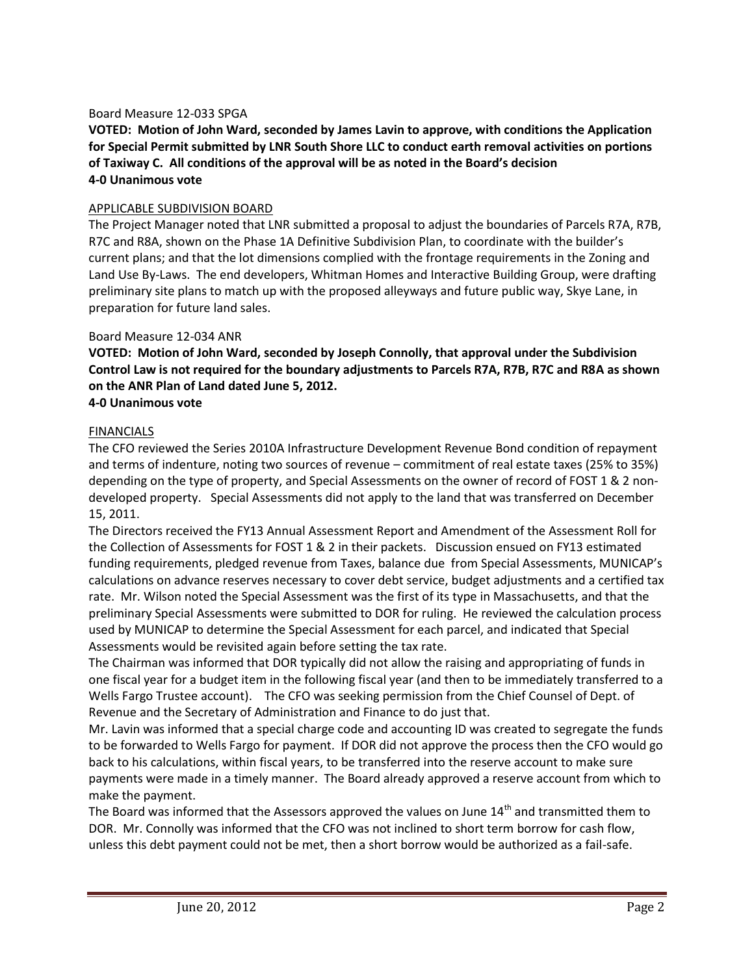### Board Measure 12-033 SPGA

**VOTED: Motion of John Ward, seconded by James Lavin to approve, with conditions the Application for Special Permit submitted by LNR South Shore LLC to conduct earth removal activities on portions of Taxiway C. All conditions of the approval will be as noted in the Board's decision 4-0 Unanimous vote**

### APPLICABLE SUBDIVISION BOARD

The Project Manager noted that LNR submitted a proposal to adjust the boundaries of Parcels R7A, R7B, R7C and R8A, shown on the Phase 1A Definitive Subdivision Plan, to coordinate with the builder's current plans; and that the lot dimensions complied with the frontage requirements in the Zoning and Land Use By-Laws. The end developers, Whitman Homes and Interactive Building Group, were drafting preliminary site plans to match up with the proposed alleyways and future public way, Skye Lane, in preparation for future land sales.

## Board Measure 12-034 ANR

**VOTED: Motion of John Ward, seconded by Joseph Connolly, that approval under the Subdivision Control Law is not required for the boundary adjustments to Parcels R7A, R7B, R7C and R8A as shown on the ANR Plan of Land dated June 5, 2012.**

## **4-0 Unanimous vote**

## FINANCIALS

The CFO reviewed the Series 2010A Infrastructure Development Revenue Bond condition of repayment and terms of indenture, noting two sources of revenue – commitment of real estate taxes (25% to 35%) depending on the type of property, and Special Assessments on the owner of record of FOST 1 & 2 nondeveloped property. Special Assessments did not apply to the land that was transferred on December 15, 2011.

The Directors received the FY13 Annual Assessment Report and Amendment of the Assessment Roll for the Collection of Assessments for FOST 1 & 2 in their packets. Discussion ensued on FY13 estimated funding requirements, pledged revenue from Taxes, balance due from Special Assessments, MUNICAP's calculations on advance reserves necessary to cover debt service, budget adjustments and a certified tax rate. Mr. Wilson noted the Special Assessment was the first of its type in Massachusetts, and that the preliminary Special Assessments were submitted to DOR for ruling. He reviewed the calculation process used by MUNICAP to determine the Special Assessment for each parcel, and indicated that Special Assessments would be revisited again before setting the tax rate.

The Chairman was informed that DOR typically did not allow the raising and appropriating of funds in one fiscal year for a budget item in the following fiscal year (and then to be immediately transferred to a Wells Fargo Trustee account). The CFO was seeking permission from the Chief Counsel of Dept. of Revenue and the Secretary of Administration and Finance to do just that.

Mr. Lavin was informed that a special charge code and accounting ID was created to segregate the funds to be forwarded to Wells Fargo for payment. If DOR did not approve the process then the CFO would go back to his calculations, within fiscal years, to be transferred into the reserve account to make sure payments were made in a timely manner. The Board already approved a reserve account from which to make the payment.

The Board was informed that the Assessors approved the values on June 14<sup>th</sup> and transmitted them to DOR. Mr. Connolly was informed that the CFO was not inclined to short term borrow for cash flow, unless this debt payment could not be met, then a short borrow would be authorized as a fail-safe.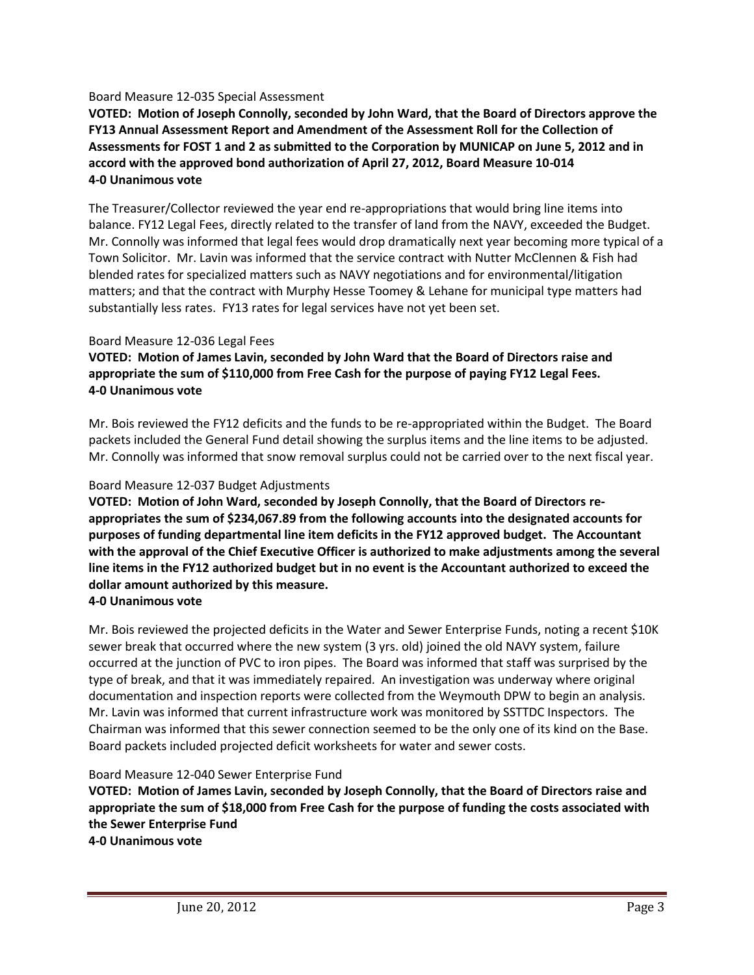## Board Measure 12-035 Special Assessment

**VOTED: Motion of Joseph Connolly, seconded by John Ward, that the Board of Directors approve the FY13 Annual Assessment Report and Amendment of the Assessment Roll for the Collection of Assessments for FOST 1 and 2 as submitted to the Corporation by MUNICAP on June 5, 2012 and in accord with the approved bond authorization of April 27, 2012, Board Measure 10-014 4-0 Unanimous vote**

The Treasurer/Collector reviewed the year end re-appropriations that would bring line items into balance. FY12 Legal Fees, directly related to the transfer of land from the NAVY, exceeded the Budget. Mr. Connolly was informed that legal fees would drop dramatically next year becoming more typical of a Town Solicitor. Mr. Lavin was informed that the service contract with Nutter McClennen & Fish had blended rates for specialized matters such as NAVY negotiations and for environmental/litigation matters; and that the contract with Murphy Hesse Toomey & Lehane for municipal type matters had substantially less rates. FY13 rates for legal services have not yet been set.

## Board Measure 12-036 Legal Fees

**VOTED: Motion of James Lavin, seconded by John Ward that the Board of Directors raise and appropriate the sum of \$110,000 from Free Cash for the purpose of paying FY12 Legal Fees. 4-0 Unanimous vote**

Mr. Bois reviewed the FY12 deficits and the funds to be re-appropriated within the Budget. The Board packets included the General Fund detail showing the surplus items and the line items to be adjusted. Mr. Connolly was informed that snow removal surplus could not be carried over to the next fiscal year.

#### Board Measure 12-037 Budget Adjustments

**VOTED: Motion of John Ward, seconded by Joseph Connolly, that the Board of Directors reappropriates the sum of \$234,067.89 from the following accounts into the designated accounts for purposes of funding departmental line item deficits in the FY12 approved budget. The Accountant with the approval of the Chief Executive Officer is authorized to make adjustments among the several line items in the FY12 authorized budget but in no event is the Accountant authorized to exceed the dollar amount authorized by this measure.**

## **4-0 Unanimous vote**

Mr. Bois reviewed the projected deficits in the Water and Sewer Enterprise Funds, noting a recent \$10K sewer break that occurred where the new system (3 yrs. old) joined the old NAVY system, failure occurred at the junction of PVC to iron pipes. The Board was informed that staff was surprised by the type of break, and that it was immediately repaired. An investigation was underway where original documentation and inspection reports were collected from the Weymouth DPW to begin an analysis. Mr. Lavin was informed that current infrastructure work was monitored by SSTTDC Inspectors. The Chairman was informed that this sewer connection seemed to be the only one of its kind on the Base. Board packets included projected deficit worksheets for water and sewer costs.

#### Board Measure 12-040 Sewer Enterprise Fund

**VOTED: Motion of James Lavin, seconded by Joseph Connolly, that the Board of Directors raise and appropriate the sum of \$18,000 from Free Cash for the purpose of funding the costs associated with the Sewer Enterprise Fund**

**4-0 Unanimous vote**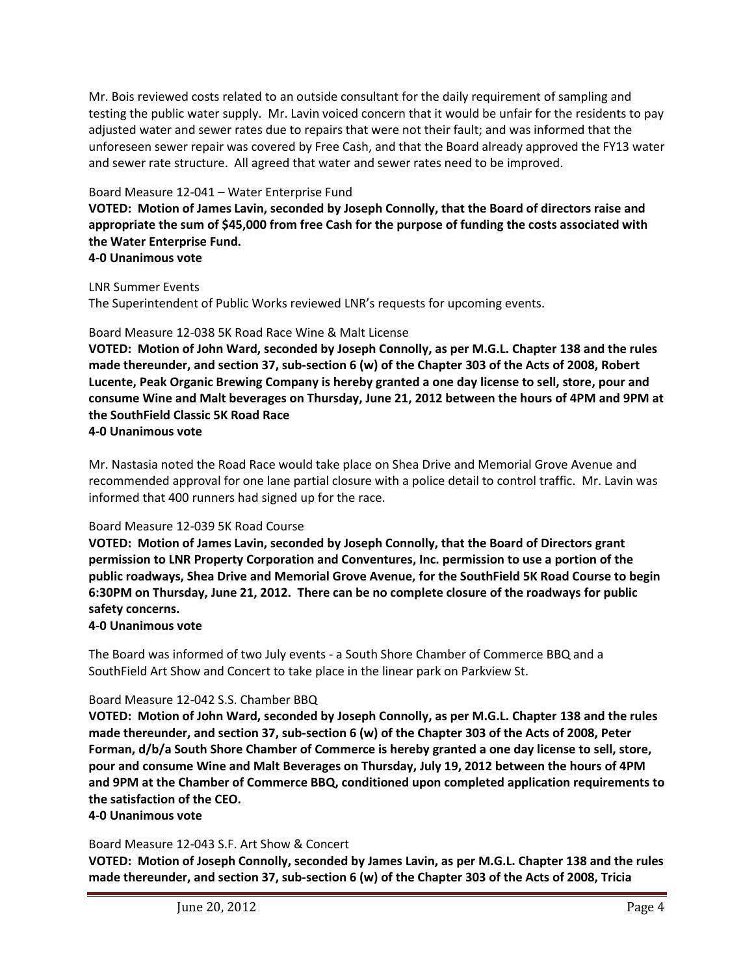Mr. Bois reviewed costs related to an outside consultant for the daily requirement of sampling and testing the public water supply. Mr. Lavin voiced concern that it would be unfair for the residents to pay adjusted water and sewer rates due to repairs that were not their fault; and was informed that the unforeseen sewer repair was covered by Free Cash, and that the Board already approved the FY13 water and sewer rate structure. All agreed that water and sewer rates need to be improved.

## Board Measure 12-041 – Water Enterprise Fund

**VOTED: Motion of James Lavin, seconded by Joseph Connolly, that the Board of directors raise and appropriate the sum of \$45,000 from free Cash for the purpose of funding the costs associated with the Water Enterprise Fund.**

# **4-0 Unanimous vote**

LNR Summer Events

The Superintendent of Public Works reviewed LNR's requests for upcoming events.

## Board Measure 12-038 5K Road Race Wine & Malt License

**VOTED: Motion of John Ward, seconded by Joseph Connolly, as per M.G.L. Chapter 138 and the rules made thereunder, and section 37, sub-section 6 (w) of the Chapter 303 of the Acts of 2008, Robert Lucente, Peak Organic Brewing Company is hereby granted a one day license to sell, store, pour and consume Wine and Malt beverages on Thursday, June 21, 2012 between the hours of 4PM and 9PM at the SouthField Classic 5K Road Race 4-0 Unanimous vote**

Mr. Nastasia noted the Road Race would take place on Shea Drive and Memorial Grove Avenue and recommended approval for one lane partial closure with a police detail to control traffic. Mr. Lavin was informed that 400 runners had signed up for the race.

#### Board Measure 12-039 5K Road Course

**VOTED: Motion of James Lavin, seconded by Joseph Connolly, that the Board of Directors grant permission to LNR Property Corporation and Conventures, Inc. permission to use a portion of the public roadways, Shea Drive and Memorial Grove Avenue, for the SouthField 5K Road Course to begin 6:30PM on Thursday, June 21, 2012. There can be no complete closure of the roadways for public safety concerns.**

## **4-0 Unanimous vote**

The Board was informed of two July events - a South Shore Chamber of Commerce BBQ and a SouthField Art Show and Concert to take place in the linear park on Parkview St.

## Board Measure 12-042 S.S. Chamber BBQ

**VOTED: Motion of John Ward, seconded by Joseph Connolly, as per M.G.L. Chapter 138 and the rules made thereunder, and section 37, sub-section 6 (w) of the Chapter 303 of the Acts of 2008, Peter Forman, d/b/a South Shore Chamber of Commerce is hereby granted a one day license to sell, store, pour and consume Wine and Malt Beverages on Thursday, July 19, 2012 between the hours of 4PM and 9PM at the Chamber of Commerce BBQ, conditioned upon completed application requirements to the satisfaction of the CEO.**

**4-0 Unanimous vote**

## Board Measure 12-043 S.F. Art Show & Concert

**VOTED: Motion of Joseph Connolly, seconded by James Lavin, as per M.G.L. Chapter 138 and the rules made thereunder, and section 37, sub-section 6 (w) of the Chapter 303 of the Acts of 2008, Tricia**